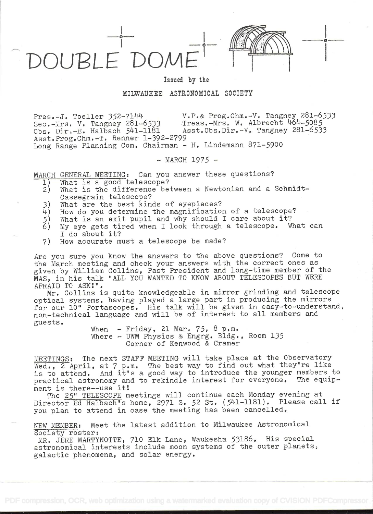DOUPLE'DOME

Issued by the

## MILWAUKEE ASTRONOMICAL SOCIETY

Pres.-J. Toeller 35271LlLI v.P.& Prog.Chm.-V. Tangriey 281-6533 Sec.-Mrs. V. Tangney 281-6533<br>Obs. Dir.-E. Halbach 541-1181 Asst.Obs.Dir.-V. Tangney 281-6533 Asst.Prog.Chm.-T. Renner 1-392-2799 Long Range Planning Com, Chairman - H. Lindemann 871-5900

 $-$  MARCH 1975  $-$ 

MARCH GENERAL MEETING: Can you answer these questions?<br>
1) What is a good telescope?

- 
- 1) What is a good telescope?<br>2) What is the difference be What is the difference between a Newtonian and a Schmidt-Cassegrain telescope?
- 
- 3) What are the best kinds of eyepieces?<br>4) How do you determine the magnification
- What is an exit pupil and why should I care about it?
- 4) How do you determine the magnification of a telescope?<br>5) What is an exit pupil and why should I care about it?<br>6) My eye gets tired when I look through a telescope. Wh My eye gets tired when I look through a telescope. What can I do about it?
- 7) How accurate must a telescope be made?

Are you sure you know the answers to the above questions? Come to the March meeting and check your answers with the correct ones as given by William Collins, Past President and long-time member of the MAS, in his talk "ALL YOU WANTED TO KNOW ABOUT TELESCOPES BUT WERE AFRAID TO ASK".

Mr. Collins is quite knowledgeable in mirror grinding and telescope optical systems, having played a large part in producing the mirrors for our 10" Portascopes. His talk will be given in easy-to-understand, non-technical language and will be of interest to all members and guests.

When - Friday, 21 Mar.  $75, 8 \text{ p.m.}$ Where - UWM Physics & Engrg. Bldg., Room 135 Corner of Kenwood & Cramer

MEETINGS: The next STAFF MEETING will take place at the Observatory Wed., 2 April, at 7 p.m. The best way to find out what they're like is to attend. And it's a good way to introduce the younger members to practical astronomy and to rekindle interest for everyone. The equipment is there--use it

The 25" TELESCOPE meetings will continue each Monday evening at Director Ed Halbach's home, 2971 S. 52 St. (541-1181). Please call if you plan to attend in case the meeting has been cancelled.

NEW MEMBER: Meet the latest addition to Milwaukee Astronomical Society roster:

MR. JERE MARTYNOTTE, 710 Elk Lane, Waukesha 53186. His special astronomical interests include moon systems of the outer planets, galactic phenomena, and solar energy.